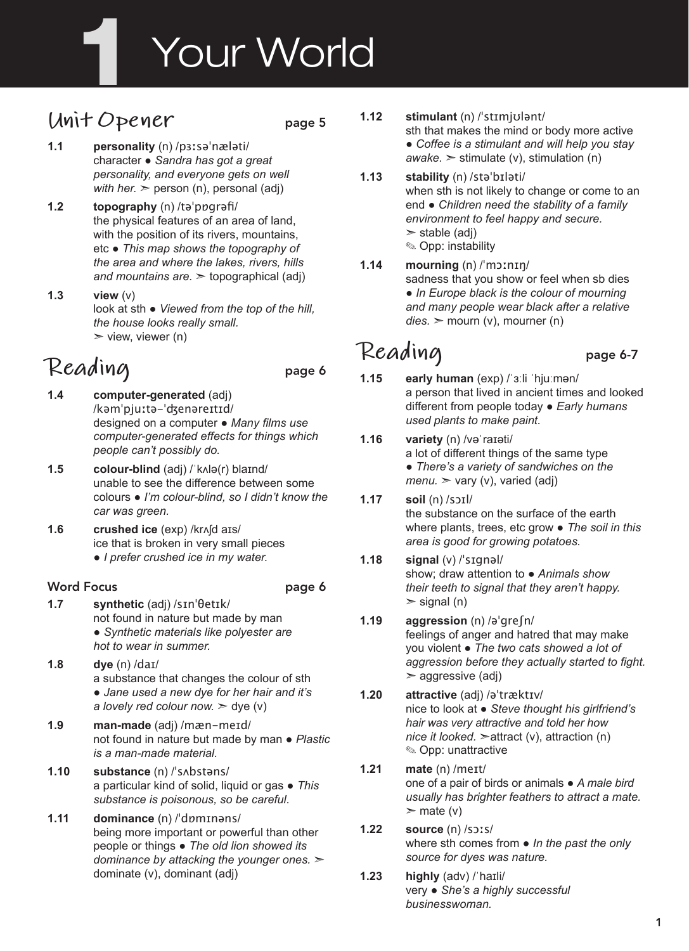# Your World

# **Unit Opener** page 5

- **1.1 personality** (n) /pɜːsəˈnæləti/ character ● *Sandra has got a great personality, and everyone gets on well with her.*  $\ge$  person (n), personal (adj)
- **1.2 topography** (n) /təˈpɒgrəfi/ the physical features of an area of land, with the position of its rivers, mountains, etc ● *This map shows the topography of the area and where the lakes, rivers, hills and mountains are.* ➣ topographical (adj)
- **1.3 view** (v) look at sth ● *Viewed from the top of the hill, the house looks really small.*  $\triangleright$  view, viewer (n)

# Reading page 6

- **1.4 computer-generated** (adj) /kəmˈpjuːtə-ˈʤenəreɪtɪd/ designed on a computer ● *Many films use computer-generated effects for things which people can't possibly do.*
- **1.5 colour-blind** (adj) /ˈkʌlə(r) blaɪnd/ unable to see the difference between some colours ● *I'm colour-blind, so I didn't know the car was green.*
- **1.6 crushed ice** (exp) /krʌʃd aɪs/ ice that is broken in very small pieces ● *I prefer crushed ice in my water.*

### Word Focus **page 6**

- **1.7 synthetic** (adj) /sɪnˈθetɪk/ not found in nature but made by man ● *Synthetic materials like polyester are hot to wear in summer.*
- **1.8 dye** (n) /daɪ/ a substance that changes the colour of sth ● *Jane used a new dye for her hair and it's a lovely red colour now.*  $\geq$  dye (v)
- **1.9 man-made** (adj) /mæn-meɪd/ not found in nature but made by man ● *Plastic is a man-made material.*
- **1.10 substance** (n) /ˈsʌbstəns/ a particular kind of solid, liquid or gas ● *This substance is poisonous, so be careful*.
- **1.11 dominance** (n) /ˈdɒmɪnəns/ being more important or powerful than other people or things ● *The old lion showed its dominance by attacking the younger ones.* ➣ dominate (v), dominant (adj)

**1.12 stimulant** (n) /ˈstɪmjʊlənt/

sth that makes the mind or body more active ● *Coffee is a stimulant and will help you stay awake.*  $\ge$  stimulate (v), stimulation (n)

- **1.13 stability** (n) /stəˈbɪləti/ when sth is not likely to change or come to an end ● *Children need the stability of a family environment to feel happy and secure.*   $\ge$  stable (adj) ✎ Opp: instability
- **1.14 mourning** (n) /ˈmɔːnɪŋ/ sadness that you show or feel when sb dies ● *In Europe black is the colour of mourning and many people wear black after a relative dies.* ➣ mourn (v), mourner (n)

# Reading page 6-7

- **1.15 early human** (exp) /ˈɜːli ˈhjuːmən/
	- a person that lived in ancient times and looked different from people today ● *Early humans used plants to make paint.*
- **1.16 variety** (n) /vəˈraɪəti/ a lot of different things of the same type ● *There's a variety of sandwiches on the*   $menu.$   $\geq$  vary (v), varied (adj)
- **1.17 soil** (n) /sɔɪl/ the substance on the surface of the earth where plants, trees, etc grow ● *The soil in this area is good for growing potatoes.*

#### **1.18 signal** (v) /ˈsɪgnəl/ show; draw attention to ● *Animals show their teeth to signal that they aren't happy.*   $>$  signal (n)

- **1.19 aggression** (n) /əˈgreʃn/ feelings of anger and hatred that may make you violent ● *The two cats showed a lot of aggression before they actually started to fight.*   $\geq$  aggressive (adj)
- **1.20 attractive** (adj) /əˈtræktɪv/ nice to look at ● *Steve thought his girlfriend's hair was very attractive and told her how nice it looked.* ➣attract (v), attraction (n) ✎ Opp: unattractive
- **1.21 mate** (n) /meɪt/ one of a pair of birds or animals ● *A male bird usually has brighter feathers to attract a mate.*   $>$  mate (v)
- **1.22 source** (n) /sɔːs/ where sth comes from ● *In the past the only source for dyes was nature.*
- **1.23 highly** (adv) /ˈhaɪli/ very ● *She's a highly successful businesswoman.*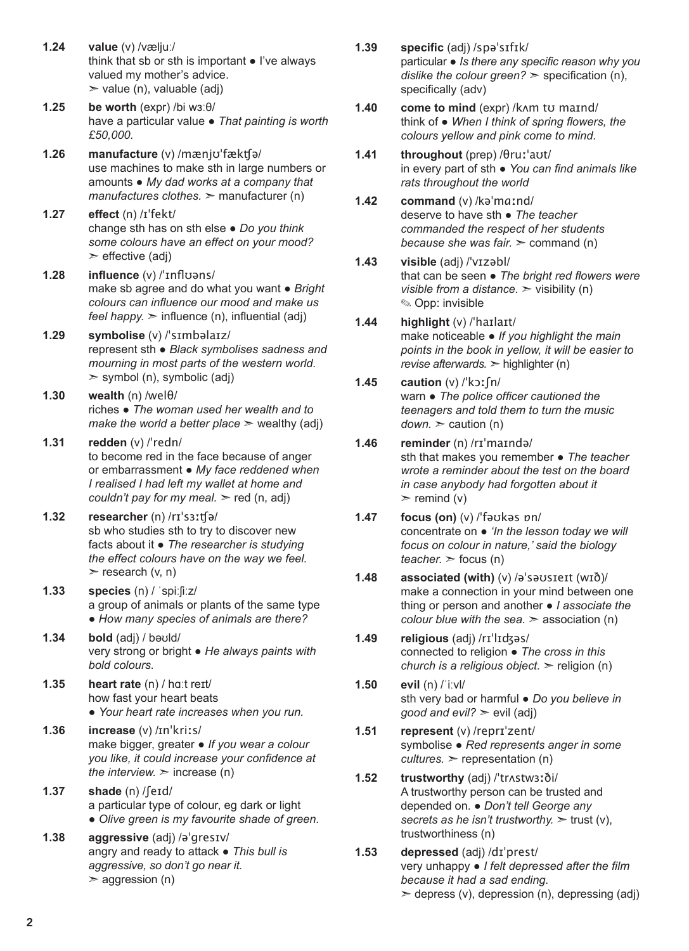- **1.24 value** (v) /væljuː/ think that sb or sth is important ● I've always valued my mother's advice.  $\ge$  value (n), valuable (adj)
- **1.25 be worth** (expr) /bi wɜːθ/ have a particular value ● *That painting is worth £50,000.*
- **1.26 manufacture** (v) /mænjʊˈfækʧə/ use machines to make sth in large numbers or amounts ● *My dad works at a company that manufactures clothes.* ➣ manufacturer (n)
- **1.27 effect** (n) /ɪˈfekt/ change sth has on sth else ● *Do you think some colours have an effect on your mood?*   $\triangleright$  effective (adj)
- **1.28 influence** (v) /ˈɪnflʊəns/ make sb agree and do what you want ● *Bright colours can influence our mood and make us feel happy.*  $\geq$  influence (n), influential (adj)
- **1.29 symbolise** (v) /ˈsɪmbəlaɪz/ represent sth ● *Black symbolises sadness and mourning in most parts of the western world.*   $>$  symbol (n), symbolic (adj)
- **1.30 wealth** (n) /welθ/ riches ● *The woman used her wealth and to make the world a better place*  $\geq$  wealthy (adj)
- **1.31 redden** (v) /ˈredn/ to become red in the face because of anger or embarrassment ● *My face reddened when I realised I had left my wallet at home and couldn't pay for my meal.*  $\ge$  red (n, adj)
- **1.32 researcher** (n) /rɪˈsɜːʧə/ sb who studies sth to try to discover new facts about it ● *The researcher is studying the effect colours have on the way we feel.*   $\triangleright$  research (v, n)
- **1.33 species** (n) / ˈspiːʃiːz/ a group of animals or plants of the same type ● *How many species of animals are there?*
- **1.34 bold** (adj) / bəʊld/ very strong or bright ● *He always paints with bold colours.*
- **1.35 heart rate** (n) / hɑːt reɪt/ how fast your heart beats ● *Your heart rate increases when you run.*
- **1.36 increase** (v) /ɪnˈkriːs/ make bigger, greater ● *If you wear a colour you like, it could increase your confidence at the interview.*  $\geq$  increase (n)
- **1.37 shade** (n) /ʃeɪd/ a particular type of colour, eg dark or light ● *Olive green is my favourite shade of green.*
- **1.38 aggressive** (adj) /əˈgresɪv/ angry and ready to attack ● *This bull is aggressive, so don't go near it.*   $>$  aggression (n)
- **1.39 specific** (adj) /spəˈsɪfɪk/ particular ● *Is there any specific reason why you dislike the colour green?* > specification (n), specifically (adv)
- **1.40 come to mind** (expr) /kʌm tʊ maɪnd/ think of ● *When I think of spring flowers, the colours yellow and pink come to mind.*
- **1.41 throughout** (prep) /θruːˈaʊt/ in every part of sth ● *You can find animals like rats throughout the world*
- **1.42 command** (v) /kəˈmɑːnd/ deserve to have sth ● *The teacher commanded the respect of her students because she was fair.* > command (n)
- **1.43 visible** (adj) /ˈvɪzəbl/ that can be seen ● *The bright red flowers were visible from a distance.*  $>$  visibility (n) ✎ Opp: invisible
- **1.44 highlight** (v) /ˈhaɪlaɪt/ make noticeable ● *If you highlight the main points in the book in yellow, it will be easier to revise afterwards.* ➣ highlighter (n)
- **1.45 caution** (v) /ˈkɔːʃn/ warn ● *The police officer cautioned the teenagers and told them to turn the music*   $down.$   $\ge$  caution (n)
- **1.46 reminder** (n) /rɪˈmaɪndə/ sth that makes you remember ● *The teacher wrote a reminder about the test on the board in case anybody had forgotten about it*   $\triangleright$  remind (v)
- **1.47 focus (on)** (v) /ˈfəʊkəs ɒn/ concentrate on ● *'In the lesson today we will focus on colour in nature,' said the biology*   $teacher.$   $\ge$  focus (n)
- **1.48 associated (with)** (v) /əˈsəʊsɪeɪt (wɪð)/ make a connection in your mind between one thing or person and another ● *I associate the colour blue with the sea.* ➣ association (n)
- **1.49 religious** (adj) /rɪˈlɪʤəs/ connected to religion ● *The cross in this church is a religious object.* ➣ religion (n)
- **1.50 evil** (n) /ˈiːvl/ sth very bad or harmful ● *Do you believe in good and evil?* ➣ evil (adj)
- **1.51 represent** (v) /reprɪˈzent/ symbolise ● *Red represents anger in some*   $cutures.$   $\geq$  representation (n)
- **1.52 trustworthy** (adj) /ˈtrʌstwɜːði/ A trustworthy person can be trusted and depended on. ● *Don't tell George any secrets as he isn't trustworthy.* ➣ trust (v), trustworthiness (n)
- **1.53 depressed** (adj) /dɪˈprest/ very unhappy ● *I felt depressed after the film because it had a sad ending.*   $\geq$  depress (v), depression (n), depressing (adj)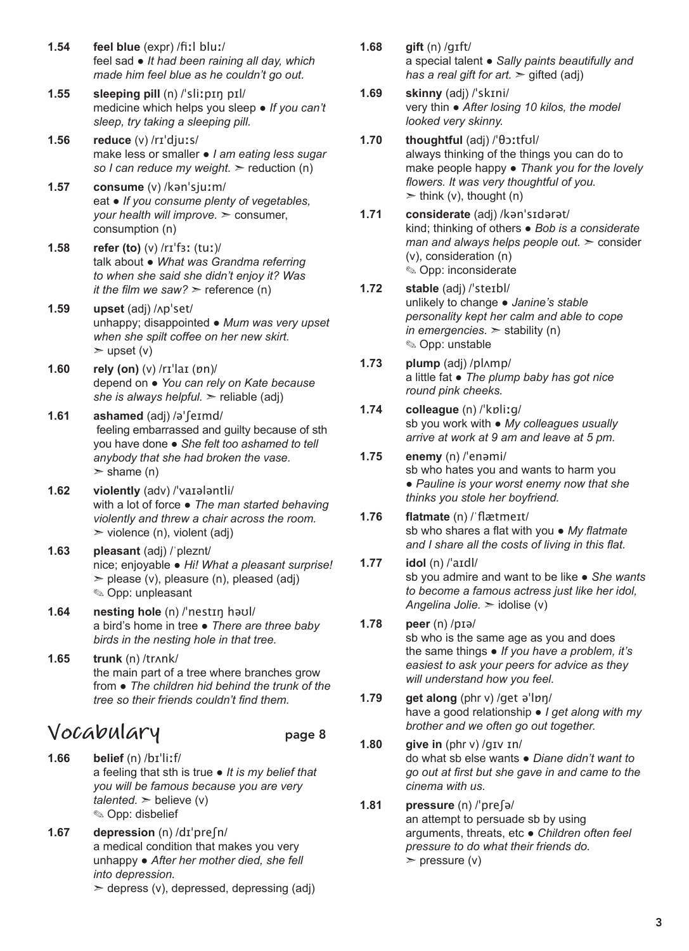- **1.54 feel blue** (expr) /fiːl bluː/ feel sad ● *It had been raining all day, which made him feel blue as he couldn't go out.*
- **1.55 sleeping pill** (n) /ˈsliːpɪŋ pɪl/ medicine which helps you sleep ● *If you can't sleep, try taking a sleeping pill.*
- **1.56 reduce** (v) /rɪˈdjuːs/ make less or smaller ● *I am eating less sugar so I can reduce my weight.* ➣ reduction (n)
- **1.57 consume** (v) /kənˈsjuːm/ eat ● *If you consume plenty of vegetables, your health will improve.* ➣ consumer, consumption (n)
- **1.58 refer (to)** (v) /rɪˈfɜː (tuː)/ talk about ● *What was Grandma referring to when she said she didn't enjoy it? Was it the film we saw?*  $\geq$  reference (n)
- **1.59 upset** (adj) /ʌpˈset/ unhappy; disappointed ● *Mum was very upset when she spilt coffee on her new skirt.*   $>$  upset (v)
- **1.60 rely (on)** (v) /rɪˈlaɪ (ɒn)/ depend on ● *You can rely on Kate because she is always helpful.* ➣ reliable (adj)
- **1.61 ashamed** (adj) /əˈʃeɪmd/ feeling embarrassed and guilty because of sth you have done ● *She felt too ashamed to tell anybody that she had broken the vase.*   $>$  shame (n)
- **1.62 violently** (adv) /ˈvaɪələntli/ with a lot of force ● *The man started behaving violently and threw a chair across the room.*   $\triangleright$  violence (n), violent (adj)
- **1.63 pleasant** (adj) /ˈpleznt/ nice; enjoyable ● *Hi! What a pleasant surprise!*  $\geq$  please (v), pleasure (n), pleased (adj) ✎ Opp: unpleasant
- **1.64 nesting hole** (n) /ˈnestɪŋ həʊl/ a bird's home in tree ● *There are three baby birds in the nesting hole in that tree.*
- **1.65 trunk** (n) /trʌnk/ the main part of a tree where branches grow from ● *The children hid behind the trunk of the tree so their friends couldn't find them.*

### **Vocabulary** page 8

- 
- **1.66 belief** (n) /bɪˈliːf/ a feeling that sth is true ● *It is my belief that you will be famous because you are very*   $talendar \geq 0$  believe (v) ✎ Opp: disbelief
- **1.67 depression** (n) /dɪˈpreʃn/ a medical condition that makes you very unhappy ● *After her mother died, she fell into depression.*   $\geq$  depress (v), depressed, depressing (adj)
- **1.68 gift** (n) /gɪft/ a special talent ● *Sally paints beautifully and has a real gift for art.* ➣ gifted (adj)
- **1.69 skinny** (adj) /ˈskɪni/ very thin ● *After losing 10 kilos, the model looked very skinny.*
- **1.70 thoughtful** (adj) /ˈθɔːtfʊl/ always thinking of the things you can do to make people happy ● *Thank you for the lovely flowers. It was very thoughtful of you.*   $\ge$  think (v), thought (n)
- **1.71 considerate** (adj) /kənˈsɪdərət/ kind; thinking of others ● *Bob is a considerate man and always helps people out.* ➣ consider (v), consideration (n) ✎ Opp: inconsiderate
- **1.72 stable** (adj) /ˈsteɪbl/ unlikely to change ● *Janine's stable personality kept her calm and able to cope in emergencies.* ➣ stability (n) ✎ Opp: unstable
- **1.73 plump** (adj) /plʌmp/ a little fat ● *The plump baby has got nice round pink cheeks.*
- **1.74 colleague** (n) /ˈkɒliːg/ sb you work with ● *My colleagues usually arrive at work at 9 am and leave at 5 pm.*
- **1.75 enemy** (n) /ˈenəmi/ sb who hates you and wants to harm you ● *Pauline is your worst enemy now that she thinks you stole her boyfriend.*
- **1.76 flatmate** (n) /ˈflætmeɪt/ sb who shares a flat with you ● *My flatmate and I share all the costs of living in this flat.*
- **1.77 idol** (n) /ˈaɪdl/ sb you admire and want to be like ● *She wants to become a famous actress just like her idol, Angelina Jolie.* ➣ idolise (v)
- **1.78 peer** (n) /pɪə/ sb who is the same age as you and does the same things ● *If you have a problem, it's easiest to ask your peers for advice as they will understand how you feel.*
- **1.79 get along** (phr v) /get əˈlɒŋ/ have a good relationship ● *I get along with my brother and we often go out together.*
- **1.80 give in** (phr v) /gɪv ɪn/ do what sb else wants ● *Diane didn't want to go out at first but she gave in and came to the cinema with us.*

#### **1.81 pressure** (n) /ˈpreʃə/ an attempt to persuade sb by using arguments, threats, etc ● *Children often feel pressure to do what their friends do.*   $>$  pressure (v)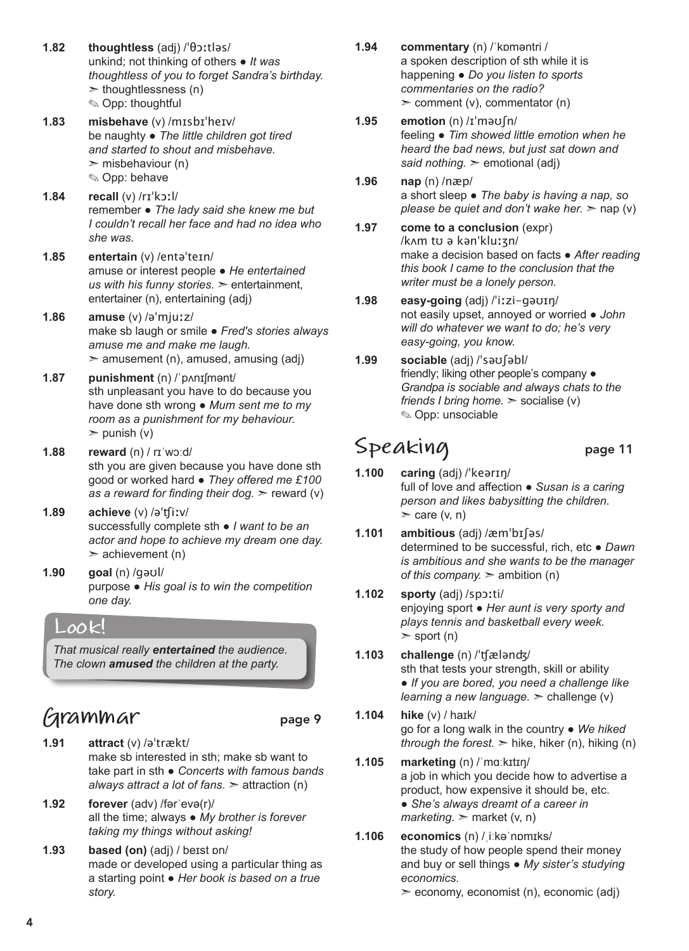- **1.82 thoughtless** (adj) /ˈθɔːtləs/ unkind; not thinking of others ● *It was thoughtless of you to forget Sandra's birthday.*   $\geq$  thoughtlessness (n) ✎ Opp: thoughtful
- **1.83 misbehave** (v) /mɪsbɪˈheɪv/ be naughty ● *The little children got tired and started to shout and misbehave.*   $\geq$  misbehaviour (n) ✎ Opp: behave
- **1.84 recall** (v) /rɪˈkɔːl/ remember ● *The lady said she knew me but I couldn't recall her face and had no idea who she was.*
- **1.85 entertain** (v) /entəˈteɪn/ amuse or interest people ● *He entertained us with his funny stories.* ➣ entertainment, entertainer (n), entertaining (adj)
- **1.86 amuse** (v) /əˈmjuːz/ make sb laugh or smile ● *Fred's stories always amuse me and make me laugh.*   $\ge$  amusement (n), amused, amusing (adj)
- **1.87 punishment** (n) /ˈpʌnɪʃmənt/ sth unpleasant you have to do because you have done sth wrong ● *Mum sent me to my room as a punishment for my behaviour.*   $\ge$  punish (v)
- **1.88 reward** (n) / rɪˈwɔːd/ sth you are given because you have done sth good or worked hard ● *They offered me £100 as a reward for finding their dog.*  $\ge$  reward (v)
- **1.89 achieve** (v) /əˈʧiːv/ successfully complete sth ● *I want to be an actor and hope to achieve my dream one day.*   $\geq$  achievement (n)
- **1.90 goal** (n) /gəʊl/ purpose ● *His goal is to win the competition one day.*

### **Look!**

*That musical really entertained the audience. The clown amused the children at the party.*

# **Grammar** page 9

- **1.91 attract** (v) /əˈtrækt/ make sb interested in sth; make sb want to take part in sth ● *Concerts with famous bands always attract a lot of fans.* ➣ attraction (n)
- **1.92 forever** (adv) /fərˈevə(r)/ all the time; always ● *My brother is forever taking my things without asking!*
- **1.93 based (on)** (adj) / beɪst ɒn/ made or developed using a particular thing as a starting point ● *Her book is based on a true story.*
- **1.94 commentary** (n) /ˈkɒməntri / a spoken description of sth while it is happening ● *Do you listen to sports commentaries on the radio?*   $\geq$  comment (v), commentator (n)
- **1.95 emotion** (n) /ɪˈməʊʃn/ feeling ● *Tim showed little emotion when he heard the bad news, but just sat down and said nothing.* ➣ emotional (adj)
- **1.96 nap** (n) /næp/ a short sleep ● *The baby is having a nap, so please be quiet and don't wake her.*  $\geq$  nap (v)
- **1.97 come to a conclusion** (expr) /kʌm tʊ ə kənˈkluːʒn/ make a decision based on facts ● *After reading this book I came to the conclusion that the writer must be a lonely person.*
- **1.98 easy-going** (adj) /ˈiːzi-gəʊɪŋ/ not easily upset, annoyed or worried ● *John will do whatever we want to do; he's very easy-going, you know.*
- **1.99 sociable** (adj) /ˈsəʊʃəbl/ friendly; liking other people's company ● *Grandpa is sociable and always chats to the friends I bring home.*  $\ge$  socialise (v) ✎ Opp: unsociable

## Speaking page 11

- **1.100 caring** (adj) /ˈkeərɪŋ/ full of love and affection ● *Susan is a caring person and likes babysitting the children.*   $\ge$  care (v, n)
- **1.101 ambitious** (adj) /æmˈbɪʃəs/ determined to be successful, rich, etc ● *Dawn is ambitious and she wants to be the manager of this company.*  $\geq$  ambition (n)
- **1.102 sporty** (adj) /spɔːti/ enjoying sport ● *Her aunt is very sporty and plays tennis and basketball every week.*   $>$  sport (n)
- **1.103 challenge** (n) /ˈʧælənʤ/ sth that tests your strength, skill or ability ● *If you are bored, you need a challenge like learning a new language.*  $\geq$  challenge (v)
- **1.104 hike** (v) / haɪk/ go for a long walk in the country ● *We hiked through the forest.*  $\geq$  hike, hiker (n), hiking (n)
- **1.105 marketing** (n) /ˈmɑːkɪtɪŋ/ a job in which you decide how to advertise a product, how expensive it should be, etc. ● *She's always dreamt of a career in*   $marketing.$  market  $(v, n)$
- **1.106 economics** (n) /ˌiːkəˈnɒmɪks/ the study of how people spend their money and buy or sell things ● *My sister's studying economics.*

➣ economy, economist (n), economic (adj)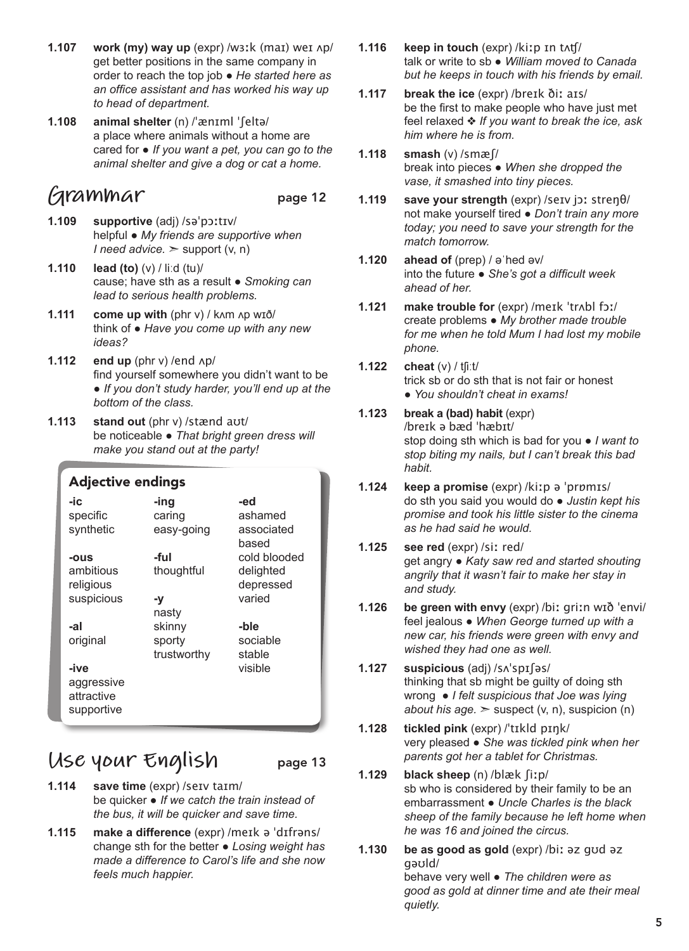- **1.107 work (my) way up** (expr) /wɜːk (maɪ) weɪ ʌp/ get better positions in the same company in order to reach the top job ● *He started here as an office assistant and has worked his way up to head of department.*
- **1.108 animal shelter** (n) /ˈænɪml ˈʃeltə/ a place where animals without a home are cared for ● *If you want a pet, you can go to the animal shelter and give a dog or cat a home.*

### **Grammar** page 12

- **1.109 supportive** (adj) /səˈpɔːtɪv/ helpful ● *My friends are supportive when I* need advice.  $\geq$  support (v, n)
- **1.110 lead (to)** (v) / liːd (tu)/ cause; have sth as a result ● *Smoking can lead to serious health problems.*
- **1.111 come up with** (phr v) / kʌm ʌp wɪð/ think of ● *Have you come up with any new ideas?*
- **1.112** end up (phr v) /end  $\Delta p$ / find yourself somewhere you didn't want to be ● *If you don't study harder, you'll end up at the bottom of the class.*
- **1.113 stand out** (phr v) /stænd aʊt/ be noticeable ● *That bright green dress will make you stand out at the party!*

#### Adjective endings

| -ic        | -ing        | -ed                 |
|------------|-------------|---------------------|
| specific   | caring      | ashamed             |
| synthetic  | easy-going  | associated<br>based |
| -ous       | -ful        | cold blooded        |
| ambitious  | thoughtful  | delighted           |
| religious  |             | depressed           |
| suspicious | -y          | varied              |
|            | nasty       |                     |
| -al        | skinny      | -ble                |
| original   | sporty      | sociable            |
|            | trustworthy | stable              |
| -ive       |             | visible             |
| aggressive |             |                     |
| attractive |             |                     |
| supportive |             |                     |
|            |             |                     |

### **Use your English** page 13

- **1.114 save time** (expr) /seɪv taɪm/ be quicker ● *If we catch the train instead of the bus, it will be quicker and save time.*
- **1.115 make a difference** (expr) /meɪk ə ˈdɪfrəns/ change sth for the better ● *Losing weight has made a difference to Carol's life and she now feels much happier.*
- **1.116 keep in touch** (expr) /kiːp ɪn tʌʧ/ talk or write to sb ● *William moved to Canada but he keeps in touch with his friends by email.*
- **1.117 break the ice** (expr) /breɪk ðiː aɪs/ be the first to make people who have just met feel relaxed ❖ *If you want to break the ice, ask him where he is from.*
- **1.118 smash** (v) /smæʃ/ break into pieces ● *When she dropped the vase, it smashed into tiny pieces.*
- **1.119 save your strength** (expr) /seɪv jɔː streŋθ/ not make yourself tired ● *Don't train any more today; you need to save your strength for the match tomorrow.*
- **1.120 ahead of** (prep) / əˈhed əv/ into the future ● *She's got a difficult week ahead of her.*
- **1.121 make trouble for** (expr) /meɪk ˈtrʌbl fɔː/ create problems ● *My brother made trouble for me when he told Mum I had lost my mobile phone.*
- **1.122 cheat** (v) / tʃiːt/ trick sb or do sth that is not fair or honest ● *You shouldn't cheat in exams!*
- **1.123 break a (bad) habit** (expr) /breɪk ə bæd ˈhæbɪt/ stop doing sth which is bad for you ● *I want to stop biting my nails, but I can't break this bad habit.*
- **1.124 keep a promise** (expr) /kiːp ə ˈprɒmɪs/ do sth you said you would do ● *Justin kept his promise and took his little sister to the cinema as he had said he would.*
- **1.125 see red** (expr) /siː red/ get angry ● *Katy saw red and started shouting angrily that it wasn't fair to make her stay in and study.*
- **1.126 be green with envy** (expr) /biː griːn wɪð ˈenvi/ feel jealous ● *When George turned up with a new car, his friends were green with envy and wished they had one as well.*
- **1.127 suspicious** (adj) /sʌˈspɪʃəs/ thinking that sb might be guilty of doing sth wrong ● *I felt suspicious that Joe was lying about his age.*  $\geq$  suspect (v, n), suspicion (n)
- **1.128 tickled pink** (expr) /ˈtɪkld pɪŋk/ very pleased ● *She was tickled pink when her parents got her a tablet for Christmas.*
- **1.129 black sheep** (n) /blæk ʃiːp/ sb who is considered by their family to be an embarrassment ● *Uncle Charles is the black sheep of the family because he left home when he was 16 and joined the circus.*
- **1.130 be as good as gold** (expr) /biː əz gʊd əz gəʊld/ behave very well ● *The children were as good as gold at dinner time and ate their meal quietly.*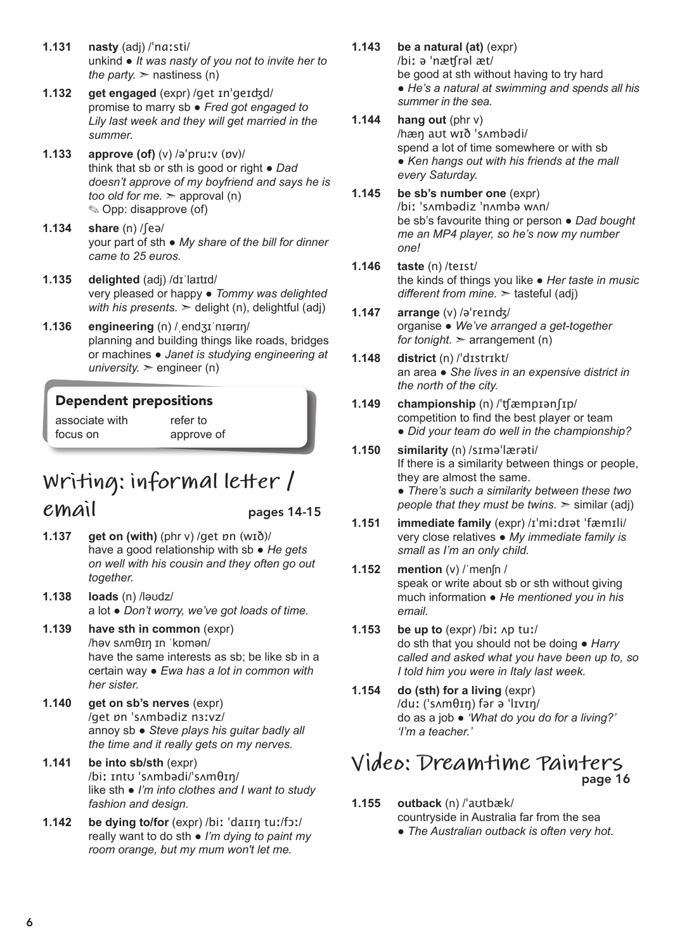- **1.131 nasty** (adj) /ˈnɑːsti/ unkind ● *It was nasty of you not to invite her to the party.*  $>$  nastiness (n)
- **1.132 get engaged** (expr) /get ɪnˈgeɪʤd/ promise to marry sb ● *Fred got engaged to Lily last week and they will get married in the summer.*
- **1.133 approve (of)** (v) /əˈpruːv (ɒv)/ think that sb or sth is good or right ● *Dad doesn't approve of my boyfriend and says he is too old for me.* ➣ approval (n) ✎ Opp: disapprove (of)
- **1.134 share** (n) /ʃeə/ your part of sth ● *My share of the bill for dinner came to 25 euros.*
- **1.135 delighted** (adj) /dɪˈlaɪtɪd/ very pleased or happy ● *Tommy was delighted with his presents.*  $\geq$  delight (n), delightful (adj)
- **1.136 engineering** (n) /ˌendʒɪˈnɪərɪŋ/ planning and building things like roads, bridges or machines ● *Janet is studying engineering at university.*  $\ge$  engineer (n)

#### Dependent prepositions

associate with focus on

refer to approve of

## **Writing: informal letter /**

**email** pages 14-15

- **1.137 get on (with)** (phr v) /get ɒn (wɪð)/ have a good relationship with sb ● *He gets on well with his cousin and they often go out together.*
- **1.138 loads** (n) /ləʊdz/ a lot ● *Don't worry, we've got loads of time.*
- **1.139 have sth in common** (expr) /həv sʌmθɪŋ ɪn ˈkɒmən/ have the same interests as sb; be like sb in a certain way ● *Ewa has a lot in common with her sister.*
- **1.140 get on sb's nerves** (expr) /get ɒn ˈsʌmbədiz nɜːvz/ annoy sb ● *Steve plays his guitar badly all the time and it really gets on my nerves.*
- **1.141 be into sb/sth** (expr) /biː ɪntʊ ˈsʌmbədi/ˈsʌmθɪŋ/ like sth ● *I'm into clothes and I want to study fashion and design.*
- **1.142 be dying to/for** (expr) /biː ˈdaɪɪŋ tuː/fɔː/ really want to do sth ● *I'm dying to paint my room orange, but my mum won't let me.*
- **1.143 be a natural (at)** (expr) /biː ə ˈnæʧrəl æt/ be good at sth without having to try hard ● *He's a natural at swimming and spends all his summer in the sea.*
- **1.144 hang out** (phr v) /hæŋ aʊt wɪð ˈsʌmbədi/ spend a lot of time somewhere or with sb ● *Ken hangs out with his friends at the mall every Saturday.*
- **1.145 be sb's number one** (expr) /biː ˈsʌmbədiz ˈnʌmbə wʌn/ be sb's favourite thing or person ● *Dad bought me an MP4 player, so he's now my number one!*
- **1.146 taste** (n) /teɪst/ the kinds of things you like ● *Her taste in music different from mine.* ➣ tasteful (adj)
- **1.147 arrange** (v) /əˈreɪnʤ/ organise ● *We've arranged a get-together for tonight.*  $\geq$  arrangement (n)
- **1.148 district** (n) /ˈdɪstrɪkt/ an area ● *She lives in an expensive district in the north of the city.*
- **1.149 championship** (n) /ˈʧæmpɪənʃɪp/ competition to find the best player or team ● *Did your team do well in the championship?*
- **1.150 similarity** (n) /sɪməˈlærəti/ If there is a similarity between things or people, they are almost the same. ● *There's such a similarity between these two people that they must be twins.* ➣ similar (adj)
- **1.151 immediate family** (expr) /ɪˈmiːdɪət ˈfæmɪli/ very close relatives ● *My immediate family is small as I'm an only child.*
- **1.152 mention** (v) /ˈmenʃn / speak or write about sb or sth without giving much information ● *He mentioned you in his email.*
- **1.153 be up to** (expr) /biː ʌp tuː/ do sth that you should not be doing ● *Harry called and asked what you have been up to, so I told him you were in Italy last week.*
- **1.154 do (sth) for a living** (expr) /duː (ˈsʌmθɪŋ) fər ə ˈlɪvɪŋ/ do as a job ● *'What do you do for a living?' 'I'm a teacher.'*

### **Video: Dreamtime Painters** page 16

- **1.155 outback** (n) /ˈaʊtbæk/ countryside in Australia far from the sea
	- *The Australian outback is often very hot.*